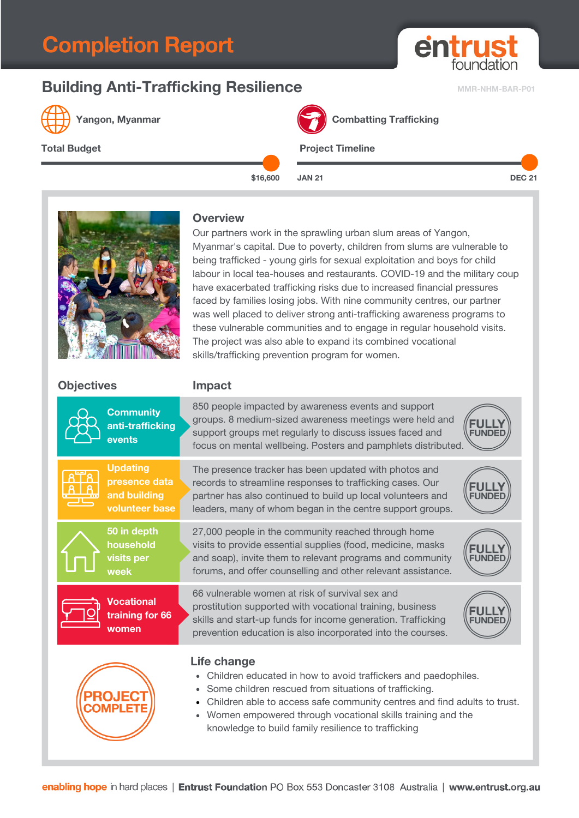# **Completion Report**

## **Building Anti-Trafficking Resilience MMR-NHM-BAR-P01**



**Yangon, Myanmar Combatting Trafficking** 



**\$16,600 JAN 21 DEC 21**

entrus

foundatio

#### **Overview**

Our partners work in the sprawling urban slum areas of Yangon, Myanmar's capital. Due to poverty, children from slums are vulnerable to being trafficked - young girls for sexual exploitation and boys for child labour in local tea-houses and restaurants. COVID-19 and the military coup have exacerbated trafficking risks due to increased financial pressures faced by families losing jobs. With nine community centres, our partner was well placed to deliver strong anti-trafficking awareness programs to these vulnerable communities and to engage in regular household visits. The project was also able to expand its combined vocational skills/trafficking prevention program for women.

### **Objectives Impact**

|                                                                                                                                                                                                                                                                                                                                                             | <b>Community</b><br>anti-trafficking<br>events                     | 850 people impacted by awareness events and support<br>groups. 8 medium-sized awareness meetings were held and<br>support groups met regularly to discuss issues faced and<br>focus on mental wellbeing. Posters and pamphlets distributed.     |  |  |
|-------------------------------------------------------------------------------------------------------------------------------------------------------------------------------------------------------------------------------------------------------------------------------------------------------------------------------------------------------------|--------------------------------------------------------------------|-------------------------------------------------------------------------------------------------------------------------------------------------------------------------------------------------------------------------------------------------|--|--|
|                                                                                                                                                                                                                                                                                                                                                             | <b>Updating</b><br>presence data<br>and building<br>volunteer base | The presence tracker has been updated with photos and<br>records to streamline responses to trafficking cases. Our<br>partner has also continued to build up local volunteers and<br>leaders, many of whom began in the centre support groups.  |  |  |
|                                                                                                                                                                                                                                                                                                                                                             | 50 in depth<br>household<br>visits per<br>week                     | 27,000 people in the community reached through home<br>visits to provide essential supplies (food, medicine, masks<br>and soap), invite them to relevant programs and community<br>forums, and offer counselling and other relevant assistance. |  |  |
|                                                                                                                                                                                                                                                                                                                                                             | <b>Vocational</b><br>training for 66<br>women                      | 66 vulnerable women at risk of survival sex and<br>prostitution supported with vocational training, business<br>skills and start-up funds for income generation. Trafficking<br>prevention education is also incorporated into the courses.     |  |  |
| Life change<br>Children educated in how to avoid traffickers and paedophiles.<br>۰<br>Some children rescued from situations of trafficking.<br>۰<br>Children able to access safe community centres and find adults to trust.<br>٠<br>Women empowered through vocational skills training and the<br>٠<br>knowledge to build family resilience to trafficking |                                                                    |                                                                                                                                                                                                                                                 |  |  |